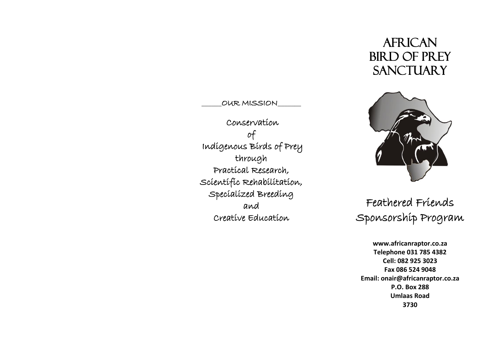# **AFRICAN** Bird of Prey **SANCTUARY**

OUR MISSION

 Conservation of Indigenous Birds of Prey through Practical Research, Scientific Rehabilitation, Specialized Breeding and Creative Education



Feathered Friends Sponsorship Program

**www.africanraptor.co.za Telephone 031 785 4382 Cell: 082 925 3023 Fax 086 524 9048 Email: onair@africanraptor.co.za P.O. Box 288 Umlaas Road 3730**